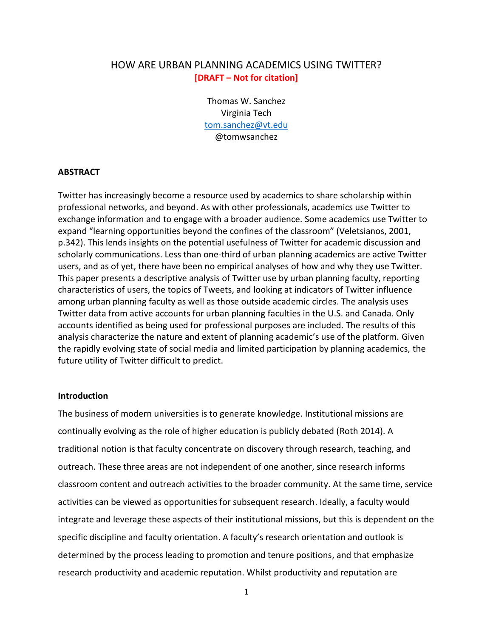# HOW ARE URBAN PLANNING ACADEMICS USING TWITTER? **[DRAFT – Not for citation]**

Thomas W. Sanchez Virginia Tech [tom.sanchez@vt.edu](mailto:tom.sanchez@vt.edu) @tomwsanchez

#### **ABSTRACT**

Twitter has increasingly become a resource used by academics to share scholarship within professional networks, and beyond. As with other professionals, academics use Twitter to exchange information and to engage with a broader audience. Some academics use Twitter to expand "learning opportunities beyond the confines of the classroom" (Veletsianos, 2001, p.342). This lends insights on the potential usefulness of Twitter for academic discussion and scholarly communications. Less than one-third of urban planning academics are active Twitter users, and as of yet, there have been no empirical analyses of how and why they use Twitter. This paper presents a descriptive analysis of Twitter use by urban planning faculty, reporting characteristics of users, the topics of Tweets, and looking at indicators of Twitter influence among urban planning faculty as well as those outside academic circles. The analysis uses Twitter data from active accounts for urban planning faculties in the U.S. and Canada. Only accounts identified as being used for professional purposes are included. The results of this analysis characterize the nature and extent of planning academic's use of the platform. Given the rapidly evolving state of social media and limited participation by planning academics, the future utility of Twitter difficult to predict.

## **Introduction**

The business of modern universities is to generate knowledge. Institutional missions are continually evolving as the role of higher education is publicly debated (Roth 2014). A traditional notion is that faculty concentrate on discovery through research, teaching, and outreach. These three areas are not independent of one another, since research informs classroom content and outreach activities to the broader community. At the same time, service activities can be viewed as opportunities for subsequent research. Ideally, a faculty would integrate and leverage these aspects of their institutional missions, but this is dependent on the specific discipline and faculty orientation. A faculty's research orientation and outlook is determined by the process leading to promotion and tenure positions, and that emphasize research productivity and academic reputation. Whilst productivity and reputation are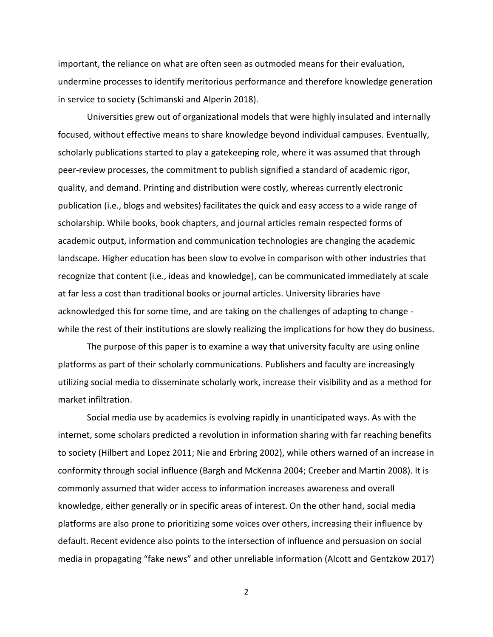important, the reliance on what are often seen as outmoded means for their evaluation, undermine processes to identify meritorious performance and therefore knowledge generation in service to society (Schimanski and Alperin 2018).

Universities grew out of organizational models that were highly insulated and internally focused, without effective means to share knowledge beyond individual campuses. Eventually, scholarly publications started to play a gatekeeping role, where it was assumed that through peer-review processes, the commitment to publish signified a standard of academic rigor, quality, and demand. Printing and distribution were costly, whereas currently electronic publication (i.e., blogs and websites) facilitates the quick and easy access to a wide range of scholarship. While books, book chapters, and journal articles remain respected forms of academic output, information and communication technologies are changing the academic landscape. Higher education has been slow to evolve in comparison with other industries that recognize that content (i.e., ideas and knowledge), can be communicated immediately at scale at far less a cost than traditional books or journal articles. University libraries have acknowledged this for some time, and are taking on the challenges of adapting to change while the rest of their institutions are slowly realizing the implications for how they do business.

The purpose of this paper is to examine a way that university faculty are using online platforms as part of their scholarly communications. Publishers and faculty are increasingly utilizing social media to disseminate scholarly work, increase their visibility and as a method for market infiltration.

Social media use by academics is evolving rapidly in unanticipated ways. As with the internet, some scholars predicted a revolution in information sharing with far reaching benefits to society (Hilbert and Lopez 2011; Nie and Erbring 2002), while others warned of an increase in conformity through social influence (Bargh and McKenna 2004; Creeber and Martin 2008). It is commonly assumed that wider access to information increases awareness and overall knowledge, either generally or in specific areas of interest. On the other hand, social media platforms are also prone to prioritizing some voices over others, increasing their influence by default. Recent evidence also points to the intersection of influence and persuasion on social media in propagating "fake news" and other unreliable information (Alcott and Gentzkow 2017)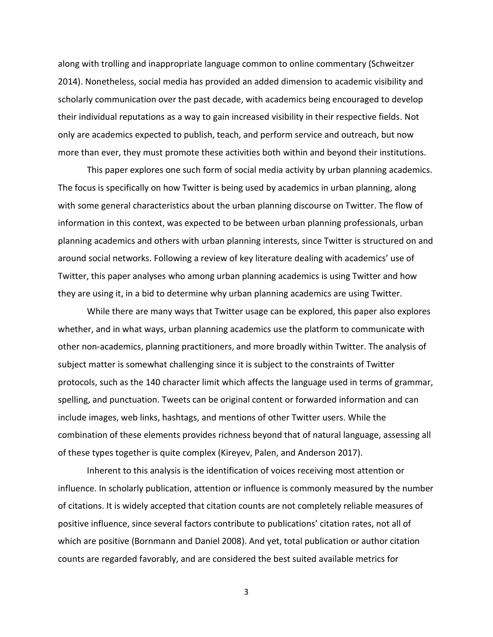along with trolling and inappropriate language common to online commentary (Schweitzer 2014). Nonetheless, social media has provided an added dimension to academic visibility and scholarly communication over the past decade, with academics being encouraged to develop their individual reputations as a way to gain increased visibility in their respective fields. Not only are academics expected to publish, teach, and perform service and outreach, but now more than ever, they must promote these activities both within and beyond their institutions.

This paper explores one such form of social media activity by urban planning academics. The focus is specifically on how Twitter is being used by academics in urban planning, along with some general characteristics about the urban planning discourse on Twitter. The flow of information in this context, was expected to be between urban planning professionals, urban planning academics and others with urban planning interests, since Twitter is structured on and around social networks. Following a review of key literature dealing with academics' use of Twitter, this paper analyses who among urban planning academics is using Twitter and how they are using it, in a bid to determine why urban planning academics are using Twitter.

While there are many ways that Twitter usage can be explored, this paper also explores whether, and in what ways, urban planning academics use the platform to communicate with other non-academics, planning practitioners, and more broadly within Twitter. The analysis of subject matter is somewhat challenging since it is subject to the constraints of Twitter protocols, such as the 140 character limit which affects the language used in terms of grammar, spelling, and punctuation. Tweets can be original content or forwarded information and can include images, web links, hashtags, and mentions of other Twitter users. While the combination of these elements provides richness beyond that of natural language, assessing all of these types together is quite complex (Kireyev, Palen, and Anderson 2017).

Inherent to this analysis is the identification of voices receiving most attention or influence. In scholarly publication, attention or influence is commonly measured by the number of citations. It is widely accepted that citation counts are not completely reliable measures of positive influence, since several factors contribute to publications' citation rates, not all of which are positive (Bornmann and Daniel 2008). And yet, total publication or author citation counts are regarded favorably, and are considered the best suited available metrics for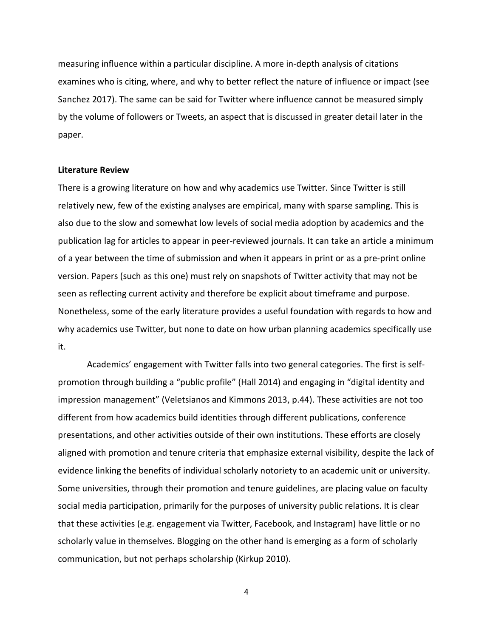measuring influence within a particular discipline. A more in-depth analysis of citations examines who is citing, where, and why to better reflect the nature of influence or impact (see Sanchez 2017). The same can be said for Twitter where influence cannot be measured simply by the volume of followers or Tweets, an aspect that is discussed in greater detail later in the paper.

#### **Literature Review**

There is a growing literature on how and why academics use Twitter. Since Twitter is still relatively new, few of the existing analyses are empirical, many with sparse sampling. This is also due to the slow and somewhat low levels of social media adoption by academics and the publication lag for articles to appear in peer-reviewed journals. It can take an article a minimum of a year between the time of submission and when it appears in print or as a pre-print online version. Papers (such as this one) must rely on snapshots of Twitter activity that may not be seen as reflecting current activity and therefore be explicit about timeframe and purpose. Nonetheless, some of the early literature provides a useful foundation with regards to how and why academics use Twitter, but none to date on how urban planning academics specifically use it.

Academics' engagement with Twitter falls into two general categories. The first is selfpromotion through building a "public profile" (Hall 2014) and engaging in "digital identity and impression management" (Veletsianos and Kimmons 2013, p.44). These activities are not too different from how academics build identities through different publications, conference presentations, and other activities outside of their own institutions. These efforts are closely aligned with promotion and tenure criteria that emphasize external visibility, despite the lack of evidence linking the benefits of individual scholarly notoriety to an academic unit or university. Some universities, through their promotion and tenure guidelines, are placing value on faculty social media participation, primarily for the purposes of university public relations. It is clear that these activities (e.g. engagement via Twitter, Facebook, and Instagram) have little or no scholarly value in themselves. Blogging on the other hand is emerging as a form of scholarly communication, but not perhaps scholarship (Kirkup 2010).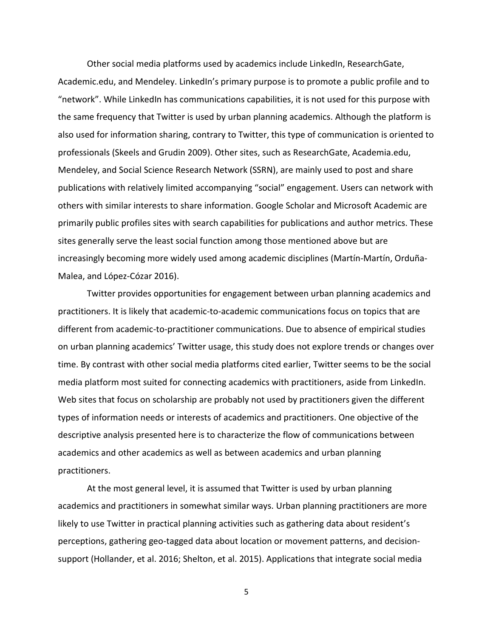Other social media platforms used by academics include LinkedIn, ResearchGate, Academic.edu, and Mendeley. LinkedIn's primary purpose is to promote a public profile and to "network". While LinkedIn has communications capabilities, it is not used for this purpose with the same frequency that Twitter is used by urban planning academics. Although the platform is also used for information sharing, contrary to Twitter, this type of communication is oriented to professionals (Skeels and Grudin 2009). Other sites, such as ResearchGate, Academia.edu, Mendeley, and Social Science Research Network (SSRN), are mainly used to post and share publications with relatively limited accompanying "social" engagement. Users can network with others with similar interests to share information. Google Scholar and Microsoft Academic are primarily public profiles sites with search capabilities for publications and author metrics. These sites generally serve the least social function among those mentioned above but are increasingly becoming more widely used among academic disciplines (Martín-Martín, Orduña-Malea, and López-Cózar 2016).

Twitter provides opportunities for engagement between urban planning academics and practitioners. It is likely that academic-to-academic communications focus on topics that are different from academic-to-practitioner communications. Due to absence of empirical studies on urban planning academics' Twitter usage, this study does not explore trends or changes over time. By contrast with other social media platforms cited earlier, Twitter seems to be the social media platform most suited for connecting academics with practitioners, aside from LinkedIn. Web sites that focus on scholarship are probably not used by practitioners given the different types of information needs or interests of academics and practitioners. One objective of the descriptive analysis presented here is to characterize the flow of communications between academics and other academics as well as between academics and urban planning practitioners.

At the most general level, it is assumed that Twitter is used by urban planning academics and practitioners in somewhat similar ways. Urban planning practitioners are more likely to use Twitter in practical planning activities such as gathering data about resident's perceptions, gathering geo-tagged data about location or movement patterns, and decisionsupport (Hollander, et al. 2016; Shelton, et al. 2015). Applications that integrate social media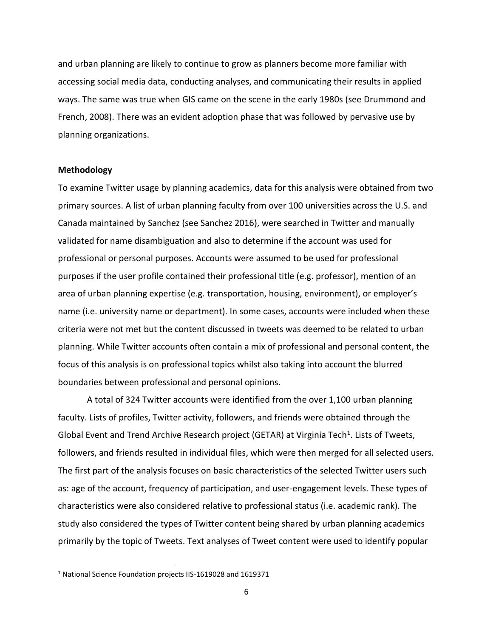and urban planning are likely to continue to grow as planners become more familiar with accessing social media data, conducting analyses, and communicating their results in applied ways. The same was true when GIS came on the scene in the early 1980s (see Drummond and French, 2008). There was an evident adoption phase that was followed by pervasive use by planning organizations.

#### **Methodology**

To examine Twitter usage by planning academics, data for this analysis were obtained from two primary sources. A list of urban planning faculty from over 100 universities across the U.S. and Canada maintained by Sanchez (see Sanchez 2016), were searched in Twitter and manually validated for name disambiguation and also to determine if the account was used for professional or personal purposes. Accounts were assumed to be used for professional purposes if the user profile contained their professional title (e.g. professor), mention of an area of urban planning expertise (e.g. transportation, housing, environment), or employer's name (i.e. university name or department). In some cases, accounts were included when these criteria were not met but the content discussed in tweets was deemed to be related to urban planning. While Twitter accounts often contain a mix of professional and personal content, the focus of this analysis is on professional topics whilst also taking into account the blurred boundaries between professional and personal opinions.

A total of 324 Twitter accounts were identified from the over 1,100 urban planning faculty. Lists of profiles, Twitter activity, followers, and friends were obtained through the Global Event and Trend Archive Research project (GETAR) at Virginia Tech<sup>1</sup>. Lists of Tweets, followers, and friends resulted in individual files, which were then merged for all selected users. The first part of the analysis focuses on basic characteristics of the selected Twitter users such as: age of the account, frequency of participation, and user-engagement levels. These types of characteristics were also considered relative to professional status (i.e. academic rank). The study also considered the types of Twitter content being shared by urban planning academics primarily by the topic of Tweets. Text analyses of Tweet content were used to identify popular

<sup>1</sup> National Science Foundation projects IIS-1619028 and 1619371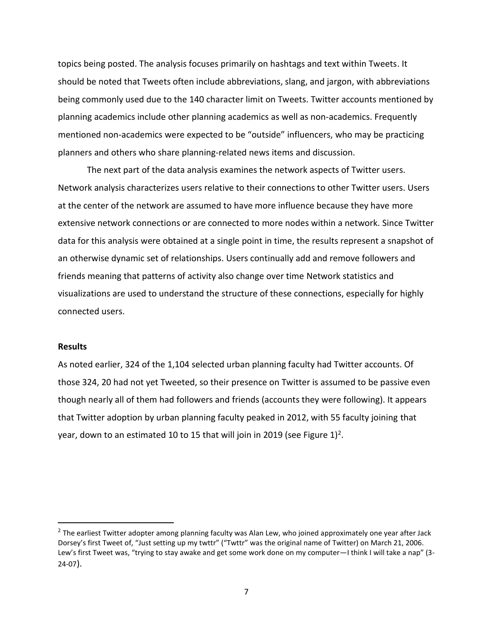topics being posted. The analysis focuses primarily on hashtags and text within Tweets. It should be noted that Tweets often include abbreviations, slang, and jargon, with abbreviations being commonly used due to the 140 character limit on Tweets. Twitter accounts mentioned by planning academics include other planning academics as well as non-academics. Frequently mentioned non-academics were expected to be "outside" influencers, who may be practicing planners and others who share planning-related news items and discussion.

The next part of the data analysis examines the network aspects of Twitter users. Network analysis characterizes users relative to their connections to other Twitter users. Users at the center of the network are assumed to have more influence because they have more extensive network connections or are connected to more nodes within a network. Since Twitter data for this analysis were obtained at a single point in time, the results represent a snapshot of an otherwise dynamic set of relationships. Users continually add and remove followers and friends meaning that patterns of activity also change over time Network statistics and visualizations are used to understand the structure of these connections, especially for highly connected users.

#### **Results**

As noted earlier, 324 of the 1,104 selected urban planning faculty had Twitter accounts. Of those 324, 20 had not yet Tweeted, so their presence on Twitter is assumed to be passive even though nearly all of them had followers and friends (accounts they were following). It appears that Twitter adoption by urban planning faculty peaked in 2012, with 55 faculty joining that year, down to an estimated 10 to 15 that will join in 2019 (see Figure 1)<sup>2</sup>.

 $^2$  The earliest Twitter adopter among planning faculty was Alan Lew, who joined approximately one year after Jack Dorsey's first Tweet of, "Just setting up my twttr" ("Twttr" was the original name of Twitter) on March 21, 2006. Lew's first Tweet was, "trying to stay awake and get some work done on my computer—I think I will take a nap" (3- 24-07).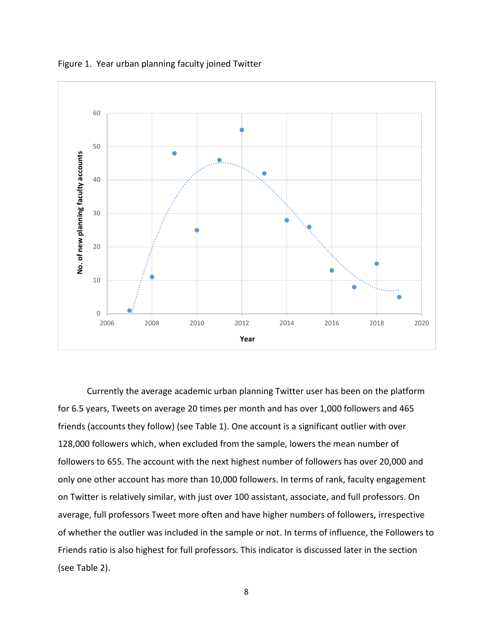

Figure 1. Year urban planning faculty joined Twitter

Currently the average academic urban planning Twitter user has been on the platform for 6.5 years, Tweets on average 20 times per month and has over 1,000 followers and 465 friends (accounts they follow) (see Table 1). One account is a significant outlier with over 128,000 followers which, when excluded from the sample, lowers the mean number of followers to 655. The account with the next highest number of followers has over 20,000 and only one other account has more than 10,000 followers. In terms of rank, faculty engagement on Twitter is relatively similar, with just over 100 assistant, associate, and full professors. On average, full professors Tweet more often and have higher numbers of followers, irrespective of whether the outlier was included in the sample or not. In terms of influence, the Followers to Friends ratio is also highest for full professors. This indicator is discussed later in the section (see Table 2).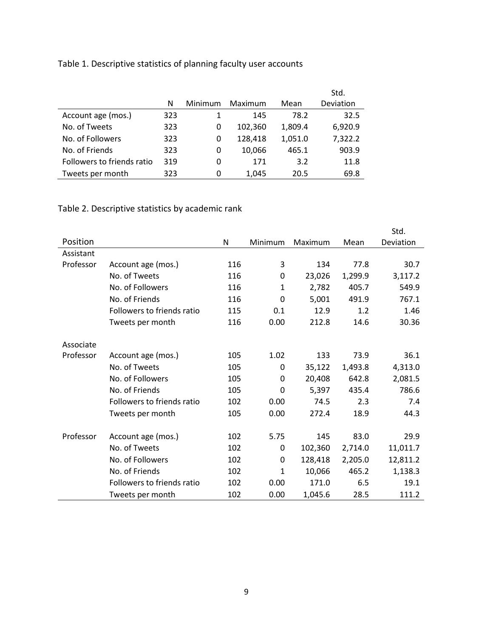|  | Table 1. Descriptive statistics of planning faculty user accounts |
|--|-------------------------------------------------------------------|
|--|-------------------------------------------------------------------|

|                            | N   | Minimum | Maximum | Mean    | Std.<br>Deviation |
|----------------------------|-----|---------|---------|---------|-------------------|
| Account age (mos.)         | 323 |         | 145     | 78.2    | 32.5              |
| No. of Tweets              | 323 | 0       | 102,360 | 1,809.4 | 6,920.9           |
| No. of Followers           | 323 | 0       | 128,418 | 1,051.0 | 7,322.2           |
| No. of Friends             | 323 | 0       | 10,066  | 465.1   | 903.9             |
| Followers to friends ratio | 319 | 0       | 171     | 3.2     | 11.8              |
| Tweets per month           | 323 | 0       | 1.045   | 20.5    | 69.8              |

# Table 2. Descriptive statistics by academic rank

|           |                            |     |              |         |         | Std.      |
|-----------|----------------------------|-----|--------------|---------|---------|-----------|
| Position  |                            | N   | Minimum      | Maximum | Mean    | Deviation |
| Assistant |                            |     |              |         |         |           |
| Professor | Account age (mos.)         | 116 | 3            | 134     | 77.8    | 30.7      |
|           | No. of Tweets              | 116 | 0            | 23,026  | 1,299.9 | 3,117.2   |
|           | No. of Followers           | 116 | $\mathbf{1}$ | 2,782   | 405.7   | 549.9     |
|           | No. of Friends             | 116 | 0            | 5,001   | 491.9   | 767.1     |
|           | Followers to friends ratio | 115 | 0.1          | 12.9    | 1.2     | 1.46      |
|           | Tweets per month           | 116 | 0.00         | 212.8   | 14.6    | 30.36     |
| Associate |                            |     |              |         |         |           |
| Professor | Account age (mos.)         | 105 | 1.02         | 133     | 73.9    | 36.1      |
|           | No. of Tweets              | 105 | 0            | 35,122  | 1,493.8 | 4,313.0   |
|           | No. of Followers           | 105 | 0            | 20,408  | 642.8   | 2,081.5   |
|           | No. of Friends             | 105 | 0            | 5,397   | 435.4   | 786.6     |
|           | Followers to friends ratio | 102 | 0.00         | 74.5    | 2.3     | 7.4       |
|           | Tweets per month           | 105 | 0.00         | 272.4   | 18.9    | 44.3      |
| Professor | Account age (mos.)         | 102 | 5.75         | 145     | 83.0    | 29.9      |
|           | No. of Tweets              | 102 | 0            | 102,360 | 2,714.0 | 11,011.7  |
|           | No. of Followers           | 102 | 0            | 128,418 | 2,205.0 | 12,811.2  |
|           | No. of Friends             | 102 | $\mathbf{1}$ | 10,066  | 465.2   | 1,138.3   |
|           | Followers to friends ratio | 102 | 0.00         | 171.0   | 6.5     | 19.1      |
|           | Tweets per month           | 102 | 0.00         | 1,045.6 | 28.5    | 111.2     |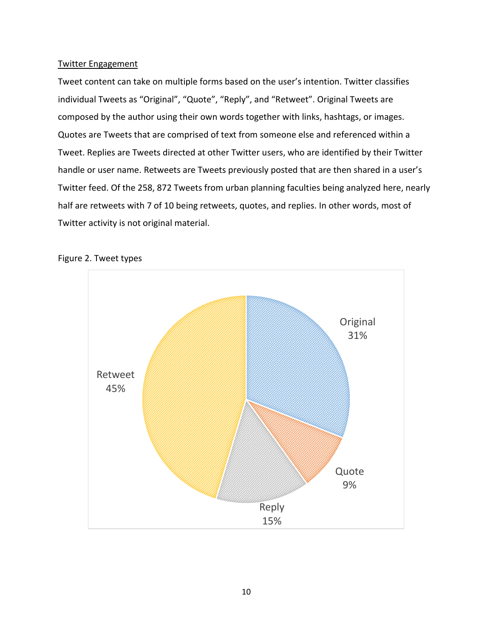# Twitter Engagement

Tweet content can take on multiple forms based on the user's intention. Twitter classifies individual Tweets as "Original", "Quote", "Reply", and "Retweet". Original Tweets are composed by the author using their own words together with links, hashtags, or images. Quotes are Tweets that are comprised of text from someone else and referenced within a Tweet. Replies are Tweets directed at other Twitter users, who are identified by their Twitter handle or user name. Retweets are Tweets previously posted that are then shared in a user's Twitter feed. Of the 258, 872 Tweets from urban planning faculties being analyzed here, nearly half are retweets with 7 of 10 being retweets, quotes, and replies. In other words, most of Twitter activity is not original material.



#### Figure 2. Tweet types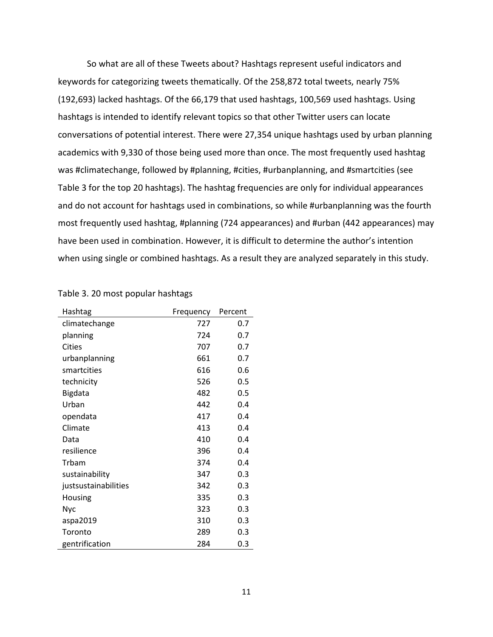So what are all of these Tweets about? Hashtags represent useful indicators and keywords for categorizing tweets thematically. Of the 258,872 total tweets, nearly 75% (192,693) lacked hashtags. Of the 66,179 that used hashtags, 100,569 used hashtags. Using hashtags is intended to identify relevant topics so that other Twitter users can locate conversations of potential interest. There were 27,354 unique hashtags used by urban planning academics with 9,330 of those being used more than once. The most frequently used hashtag was #climatechange, followed by #planning, #cities, #urbanplanning, and #smartcities (see Table 3 for the top 20 hashtags). The hashtag frequencies are only for individual appearances and do not account for hashtags used in combinations, so while #urbanplanning was the fourth most frequently used hashtag, #planning (724 appearances) and #urban (442 appearances) may have been used in combination. However, it is difficult to determine the author's intention when using single or combined hashtags. As a result they are analyzed separately in this study.

| Hashtag              | Frequency | Percent |
|----------------------|-----------|---------|
| climatechange        | 727       | 0.7     |
| planning             | 724       | 0.7     |
| Cities               | 707       | 0.7     |
| urbanplanning        | 661       | 0.7     |
| smartcities          | 616       | 0.6     |
| technicity           | 526       | 0.5     |
| Bigdata              | 482       | 0.5     |
| Urban                | 442       | 0.4     |
| opendata             | 417       | 0.4     |
| Climate              | 413       | 0.4     |
| Data                 | 410       | 0.4     |
| resilience           | 396       | 0.4     |
| Trbam                | 374       | 0.4     |
| sustainability       | 347       | 0.3     |
| justsustainabilities | 342       | 0.3     |
| Housing              | 335       | 0.3     |
| <b>Nyc</b>           | 323       | 0.3     |
| aspa2019             | 310       | 0.3     |
| Toronto              | 289       | 0.3     |
| gentrification       | 284       | 0.3     |

# Table 3. 20 most popular hashtags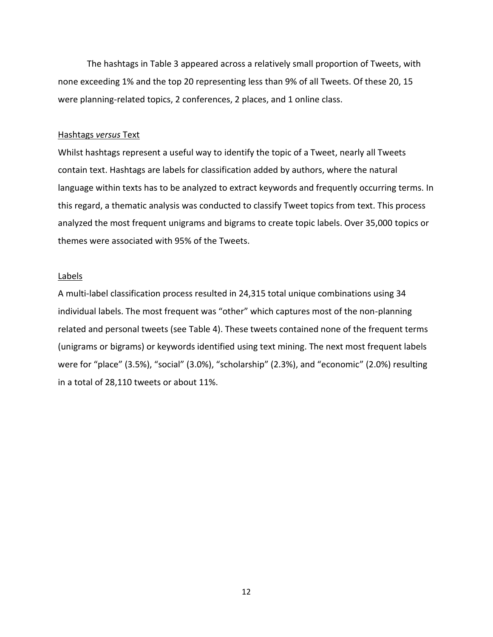The hashtags in Table 3 appeared across a relatively small proportion of Tweets, with none exceeding 1% and the top 20 representing less than 9% of all Tweets. Of these 20, 15 were planning-related topics, 2 conferences, 2 places, and 1 online class.

#### Hashtags *versus* Text

Whilst hashtags represent a useful way to identify the topic of a Tweet, nearly all Tweets contain text. Hashtags are labels for classification added by authors, where the natural language within texts has to be analyzed to extract keywords and frequently occurring terms. In this regard, a thematic analysis was conducted to classify Tweet topics from text. This process analyzed the most frequent unigrams and bigrams to create topic labels. Over 35,000 topics or themes were associated with 95% of the Tweets.

#### Labels

A multi-label classification process resulted in 24,315 total unique combinations using 34 individual labels. The most frequent was "other" which captures most of the non-planning related and personal tweets (see Table 4). These tweets contained none of the frequent terms (unigrams or bigrams) or keywords identified using text mining. The next most frequent labels were for "place" (3.5%), "social" (3.0%), "scholarship" (2.3%), and "economic" (2.0%) resulting in a total of 28,110 tweets or about 11%.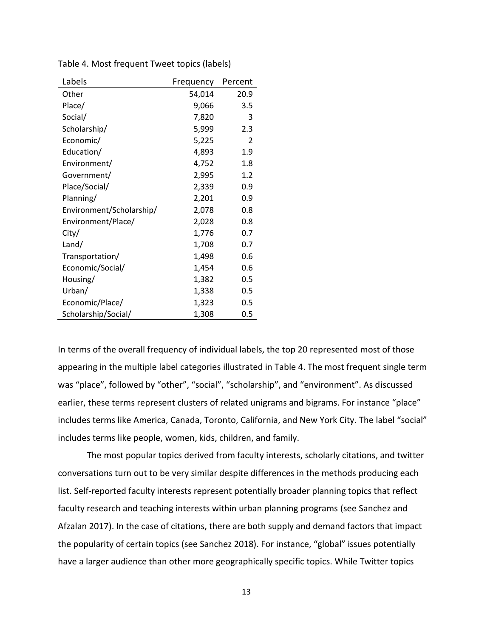| Labels                   | Frequency | Percent |
|--------------------------|-----------|---------|
| Other                    | 54,014    | 20.9    |
| Place/                   | 9,066     | 3.5     |
| Social/                  | 7,820     | 3       |
| Scholarship/             | 5,999     | 2.3     |
| Economic/                | 5,225     | 2       |
| Education/               | 4,893     | 1.9     |
| Environment/             | 4,752     | 1.8     |
| Government/              | 2,995     | 1.2     |
| Place/Social/            | 2,339     | 0.9     |
| Planning/                | 2,201     | 0.9     |
| Environment/Scholarship/ | 2,078     | 0.8     |
| Environment/Place/       | 2,028     | 0.8     |
| City/                    | 1,776     | 0.7     |
| Land/                    | 1,708     | 0.7     |
| Transportation/          | 1,498     | 0.6     |
| Economic/Social/         | 1,454     | 0.6     |
| Housing/                 | 1,382     | 0.5     |
| Urban/                   | 1,338     | 0.5     |
| Economic/Place/          | 1,323     | 0.5     |
| Scholarship/Social/      | 1,308     | 0.5     |

Table 4. Most frequent Tweet topics (labels)

In terms of the overall frequency of individual labels, the top 20 represented most of those appearing in the multiple label categories illustrated in Table 4. The most frequent single term was "place", followed by "other", "social", "scholarship", and "environment". As discussed earlier, these terms represent clusters of related unigrams and bigrams. For instance "place" includes terms like America, Canada, Toronto, California, and New York City. The label "social" includes terms like people, women, kids, children, and family.

The most popular topics derived from faculty interests, scholarly citations, and twitter conversations turn out to be very similar despite differences in the methods producing each list. Self-reported faculty interests represent potentially broader planning topics that reflect faculty research and teaching interests within urban planning programs (see Sanchez and Afzalan 2017). In the case of citations, there are both supply and demand factors that impact the popularity of certain topics (see Sanchez 2018). For instance, "global" issues potentially have a larger audience than other more geographically specific topics. While Twitter topics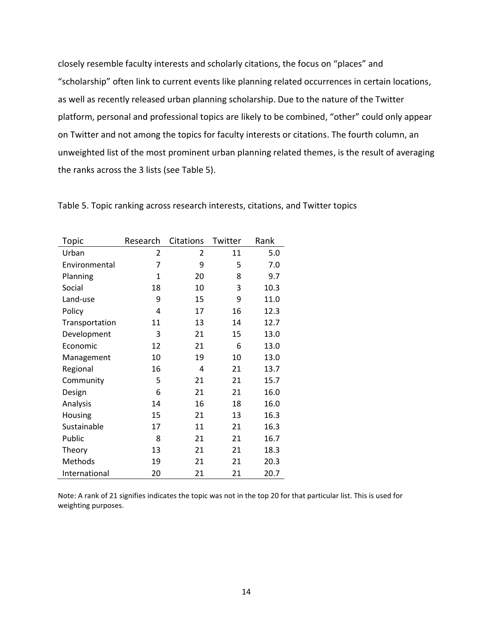closely resemble faculty interests and scholarly citations, the focus on "places" and "scholarship" often link to current events like planning related occurrences in certain locations, as well as recently released urban planning scholarship. Due to the nature of the Twitter platform, personal and professional topics are likely to be combined, "other" could only appear on Twitter and not among the topics for faculty interests or citations. The fourth column, an unweighted list of the most prominent urban planning related themes, is the result of averaging the ranks across the 3 lists (see Table 5).

| Topic          | Research     | Citations | Twitter | Rank |
|----------------|--------------|-----------|---------|------|
| Urban          | 2            | 2         | 11      | 5.0  |
| Environmental  | 7            | 9         | 5       | 7.0  |
| Planning       | $\mathbf{1}$ | 20        | 8       | 9.7  |
| Social         | 18           | 10        | 3       | 10.3 |
| Land-use       | 9            | 15        | 9       | 11.0 |
| Policy         | 4            | 17        | 16      | 12.3 |
| Transportation | 11           | 13        | 14      | 12.7 |
| Development    | 3            | 21        | 15      | 13.0 |
| Economic       | 12           | 21        | 6       | 13.0 |
| Management     | 10           | 19        | 10      | 13.0 |
| Regional       | 16           | 4         | 21      | 13.7 |
| Community      | 5            | 21        | 21      | 15.7 |
| Design         | 6            | 21        | 21      | 16.0 |
| Analysis       | 14           | 16        | 18      | 16.0 |
| Housing        | 15           | 21        | 13      | 16.3 |
| Sustainable    | 17           | 11        | 21      | 16.3 |
| Public         | 8            | 21        | 21      | 16.7 |
| Theory         | 13           | 21        | 21      | 18.3 |
| Methods        | 19           | 21        | 21      | 20.3 |
| International  | 20           | 21        | 21      | 20.7 |

Table 5. Topic ranking across research interests, citations, and Twitter topics

Note: A rank of 21 signifies indicates the topic was not in the top 20 for that particular list. This is used for weighting purposes.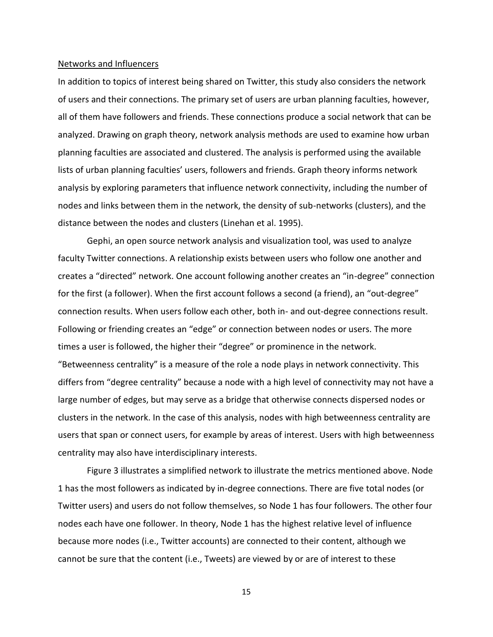#### Networks and Influencers

In addition to topics of interest being shared on Twitter, this study also considers the network of users and their connections. The primary set of users are urban planning faculties, however, all of them have followers and friends. These connections produce a social network that can be analyzed. Drawing on graph theory, network analysis methods are used to examine how urban planning faculties are associated and clustered. The analysis is performed using the available lists of urban planning faculties' users, followers and friends. Graph theory informs network analysis by exploring parameters that influence network connectivity, including the number of nodes and links between them in the network, the density of sub-networks (clusters), and the distance between the nodes and clusters (Linehan et al. 1995).

Gephi, an open source network analysis and visualization tool, was used to analyze faculty Twitter connections. A relationship exists between users who follow one another and creates a "directed" network. One account following another creates an "in-degree" connection for the first (a follower). When the first account follows a second (a friend), an "out-degree" connection results. When users follow each other, both in- and out-degree connections result. Following or friending creates an "edge" or connection between nodes or users. The more times a user is followed, the higher their "degree" or prominence in the network. "Betweenness centrality" is a measure of the role a node plays in network connectivity. This differs from "degree centrality" because a node with a high level of connectivity may not have a large number of edges, but may serve as a bridge that otherwise connects dispersed nodes or clusters in the network. In the case of this analysis, nodes with high betweenness centrality are users that span or connect users, for example by areas of interest. Users with high betweenness centrality may also have interdisciplinary interests.

Figure 3 illustrates a simplified network to illustrate the metrics mentioned above. Node 1 has the most followers as indicated by in-degree connections. There are five total nodes (or Twitter users) and users do not follow themselves, so Node 1 has four followers. The other four nodes each have one follower. In theory, Node 1 has the highest relative level of influence because more nodes (i.e., Twitter accounts) are connected to their content, although we cannot be sure that the content (i.e., Tweets) are viewed by or are of interest to these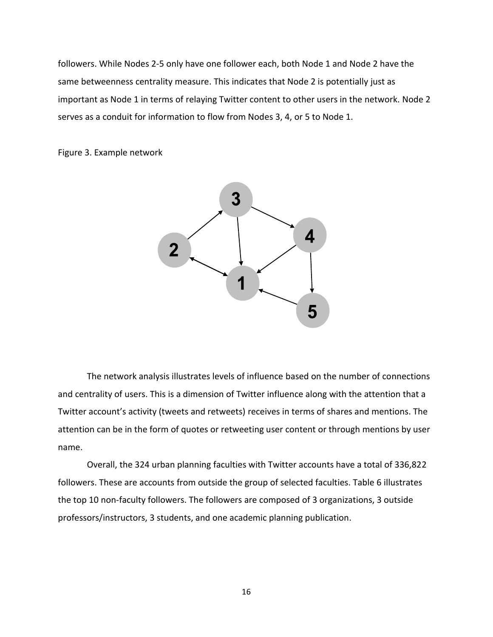followers. While Nodes 2-5 only have one follower each, both Node 1 and Node 2 have the same betweenness centrality measure. This indicates that Node 2 is potentially just as important as Node 1 in terms of relaying Twitter content to other users in the network. Node 2 serves as a conduit for information to flow from Nodes 3, 4, or 5 to Node 1.

Figure 3. Example network



The network analysis illustrates levels of influence based on the number of connections and centrality of users. This is a dimension of Twitter influence along with the attention that a Twitter account's activity (tweets and retweets) receives in terms of shares and mentions. The attention can be in the form of quotes or retweeting user content or through mentions by user name.

Overall, the 324 urban planning faculties with Twitter accounts have a total of 336,822 followers. These are accounts from outside the group of selected faculties. Table 6 illustrates the top 10 non-faculty followers. The followers are composed of 3 organizations, 3 outside professors/instructors, 3 students, and one academic planning publication.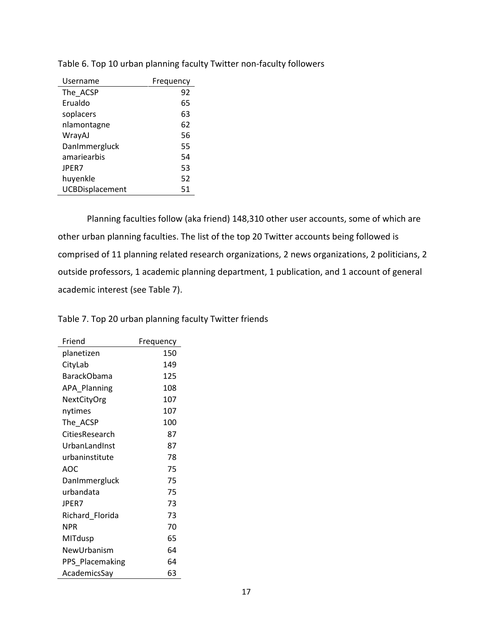| Username        | Frequency |
|-----------------|-----------|
| The ACSP        | 92        |
| Erualdo         | 65        |
| soplacers       | 63        |
| nlamontagne     | 62        |
| WrayAJ          | 56        |
| DanImmergluck   | 55        |
| amariearbis     | 54        |
| JPER7           | 53        |
| huyenkle        | 52        |
| UCBDisplacement | 51        |

Table 6. Top 10 urban planning faculty Twitter non-faculty followers

Planning faculties follow (aka friend) 148,310 other user accounts, some of which are other urban planning faculties. The list of the top 20 Twitter accounts being followed is comprised of 11 planning related research organizations, 2 news organizations, 2 politicians, 2 outside professors, 1 academic planning department, 1 publication, and 1 account of general academic interest (see Table 7).

Table 7. Top 20 urban planning faculty Twitter friends

| Friend              | Frequency |
|---------------------|-----------|
| planetizen          | 150       |
| CityLab             | 149       |
| <b>BarackObama</b>  | 125       |
| <b>APA Planning</b> | 108       |
| NextCityOrg         | 107       |
| nytimes             | 107       |
| The ACSP            | 100       |
| CitiesResearch      | 87        |
| UrbanLandInst       | 87        |
| urbaninstitute      | 78        |
| AOC                 | 75        |
| DanImmergluck       | 75        |
| urbandata           | 75        |
| <b>JPER7</b>        | 73        |
| Richard_Florida     | 73        |
| <b>NPR</b>          | 70        |
| MITdusp             | 65        |
| NewUrbanism         | 64        |
| PPS Placemaking     | 64        |
| AcademicsSay        | 63        |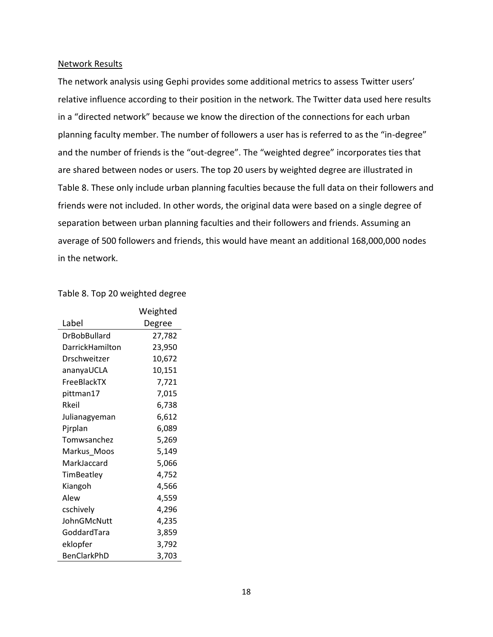#### Network Results

The network analysis using Gephi provides some additional metrics to assess Twitter users' relative influence according to their position in the network. The Twitter data used here results in a "directed network" because we know the direction of the connections for each urban planning faculty member. The number of followers a user has is referred to as the "in-degree" and the number of friends is the "out-degree". The "weighted degree" incorporates ties that are shared between nodes or users. The top 20 users by weighted degree are illustrated in Table 8. These only include urban planning faculties because the full data on their followers and friends were not included. In other words, the original data were based on a single degree of separation between urban planning faculties and their followers and friends. Assuming an average of 500 followers and friends, this would have meant an additional 168,000,000 nodes in the network.

## Table 8. Top 20 weighted degree

|                     | Weighted |
|---------------------|----------|
| Label               | Degree   |
| <b>DrBobBullard</b> | 27,782   |
| DarrickHamilton     | 23,950   |
| Drschweitzer        | 10,672   |
| ananyaUCLA          | 10,151   |
| FreeBlackTX         | 7,721    |
| pittman17           | 7,015    |
| Rkeil               | 6,738    |
| Julianagyeman       | 6,612    |
| Pjrplan             | 6,089    |
| Tomwsanchez         | 5,269    |
| Markus_Moos         | 5,149    |
| MarkJaccard         | 5,066    |
| TimBeatley          | 4,752    |
| Kiangoh             | 4,566    |
| Alew                | 4,559    |
| cschively           | 4,296    |
| JohnGMcNutt         | 4,235    |
| GoddardTara         | 3,859    |
| eklopfer            | 3,792    |
| BenClarkPhD         | 3,703    |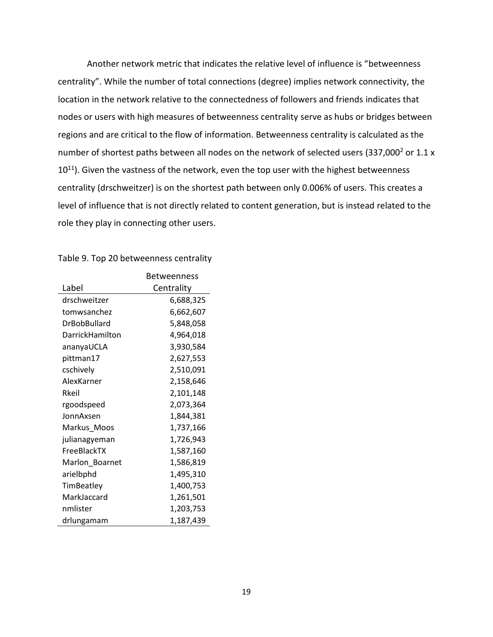Another network metric that indicates the relative level of influence is "betweenness centrality". While the number of total connections (degree) implies network connectivity, the location in the network relative to the connectedness of followers and friends indicates that nodes or users with high measures of betweenness centrality serve as hubs or bridges between regions and are critical to the flow of information. Betweenness centrality is calculated as the number of shortest paths between all nodes on the network of selected users (337,000 $^2$  or 1.1 x  $10^{11}$ ). Given the vastness of the network, even the top user with the highest betweenness centrality (drschweitzer) is on the shortest path between only 0.006% of users. This creates a level of influence that is not directly related to content generation, but is instead related to the role they play in connecting other users.

|                 | Betweenness |
|-----------------|-------------|
| Label           | Centrality  |
| drschweitzer    | 6,688,325   |
| tomwsanchez     | 6,662,607   |
| DrBobBullard    | 5,848,058   |
| DarrickHamilton | 4,964,018   |
| ananyaUCLA      | 3,930,584   |
| pittman17       | 2,627,553   |
| cschively       | 2,510,091   |
| AlexKarner      | 2,158,646   |
| Rkeil           | 2,101,148   |
| rgoodspeed      | 2,073,364   |
| JonnAxsen       | 1,844,381   |
| Markus_Moos     | 1,737,166   |
| julianagyeman   | 1,726,943   |
| FreeBlackTX     | 1,587,160   |
| Marlon Boarnet  | 1,586,819   |
| arielbphd       | 1,495,310   |
| TimBeatley      | 1,400,753   |
| MarkJaccard     | 1,261,501   |
| nmlister        | 1,203,753   |
| drlungamam      | 1,187,439   |

#### Table 9. Top 20 betweenness centrality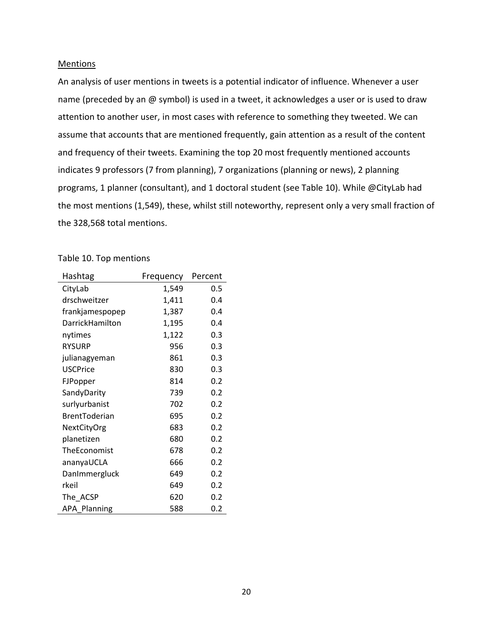#### Mentions

An analysis of user mentions in tweets is a potential indicator of influence. Whenever a user name (preceded by an @ symbol) is used in a tweet, it acknowledges a user or is used to draw attention to another user, in most cases with reference to something they tweeted. We can assume that accounts that are mentioned frequently, gain attention as a result of the content and frequency of their tweets. Examining the top 20 most frequently mentioned accounts indicates 9 professors (7 from planning), 7 organizations (planning or news), 2 planning programs, 1 planner (consultant), and 1 doctoral student (see Table 10). While @CityLab had the most mentions (1,549), these, whilst still noteworthy, represent only a very small fraction of the 328,568 total mentions.

# Table 10. Top mentions

| Hashtag              | Frequency | Percent |
|----------------------|-----------|---------|
| CityLab              | 1,549     | 0.5     |
| drschweitzer         | 1,411     | 0.4     |
| frankjamespopep      | 1,387     | 0.4     |
| DarrickHamilton      | 1,195     | 0.4     |
| nytimes              | 1,122     | 0.3     |
| <b>RYSURP</b>        | 956       | 0.3     |
| julianagyeman        | 861       | 0.3     |
| <b>USCPrice</b>      | 830       | 0.3     |
| FJPopper             | 814       | 0.2     |
| SandyDarity          | 739       | 0.2     |
| surlyurbanist        | 702       | 0.2     |
| <b>BrentToderian</b> | 695       | 0.2     |
| NextCityOrg          | 683       | 0.2     |
| planetizen           | 680       | 0.2     |
| TheEconomist         | 678       | 0.2     |
| ananyaUCLA           | 666       | 0.2     |
| DanImmergluck        | 649       | 0.2     |
| rkeil                | 649       | 0.2     |
| The ACSP             | 620       | 0.2     |
| <b>APA Planning</b>  | 588       | 0.2     |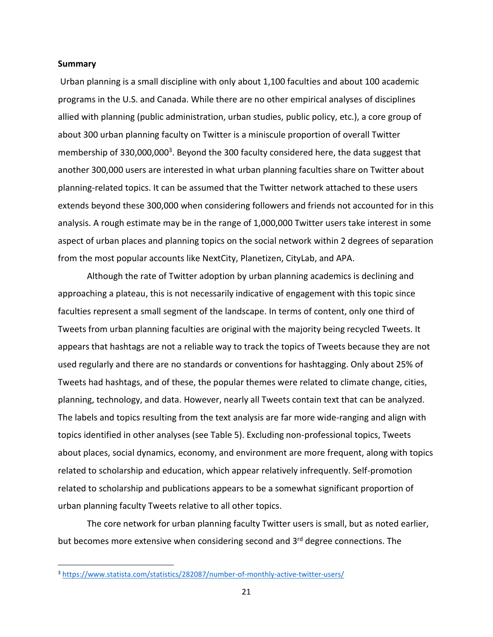#### **Summary**

Urban planning is a small discipline with only about 1,100 faculties and about 100 academic programs in the U.S. and Canada. While there are no other empirical analyses of disciplines allied with planning (public administration, urban studies, public policy, etc.), a core group of about 300 urban planning faculty on Twitter is a miniscule proportion of overall Twitter membership of 330,000,000<sup>3</sup>. Beyond the 300 faculty considered here, the data suggest that another 300,000 users are interested in what urban planning faculties share on Twitter about planning-related topics. It can be assumed that the Twitter network attached to these users extends beyond these 300,000 when considering followers and friends not accounted for in this analysis. A rough estimate may be in the range of 1,000,000 Twitter users take interest in some aspect of urban places and planning topics on the social network within 2 degrees of separation from the most popular accounts like NextCity, Planetizen, CityLab, and APA.

Although the rate of Twitter adoption by urban planning academics is declining and approaching a plateau, this is not necessarily indicative of engagement with this topic since faculties represent a small segment of the landscape. In terms of content, only one third of Tweets from urban planning faculties are original with the majority being recycled Tweets. It appears that hashtags are not a reliable way to track the topics of Tweets because they are not used regularly and there are no standards or conventions for hashtagging. Only about 25% of Tweets had hashtags, and of these, the popular themes were related to climate change, cities, planning, technology, and data. However, nearly all Tweets contain text that can be analyzed. The labels and topics resulting from the text analysis are far more wide-ranging and align with topics identified in other analyses (see Table 5). Excluding non-professional topics, Tweets about places, social dynamics, economy, and environment are more frequent, along with topics related to scholarship and education, which appear relatively infrequently. Self-promotion related to scholarship and publications appears to be a somewhat significant proportion of urban planning faculty Tweets relative to all other topics.

The core network for urban planning faculty Twitter users is small, but as noted earlier, but becomes more extensive when considering second and 3<sup>rd</sup> degree connections. The

<sup>3</sup> <https://www.statista.com/statistics/282087/number-of-monthly-active-twitter-users/>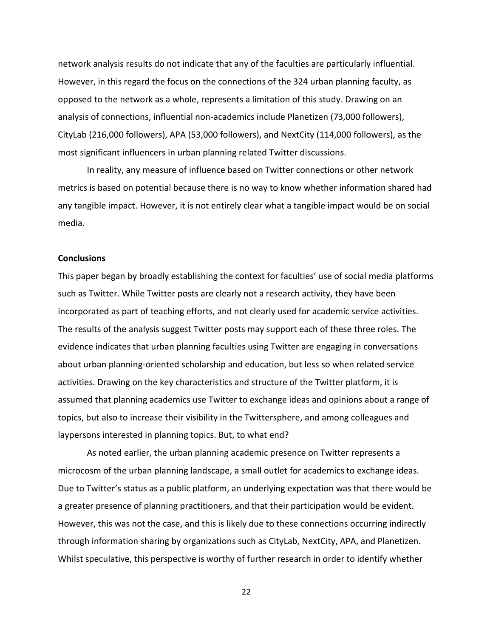network analysis results do not indicate that any of the faculties are particularly influential. However, in this regard the focus on the connections of the 324 urban planning faculty, as opposed to the network as a whole, represents a limitation of this study. Drawing on an analysis of connections, influential non-academics include Planetizen (73,000 followers), CityLab (216,000 followers), APA (53,000 followers), and NextCity (114,000 followers), as the most significant influencers in urban planning related Twitter discussions.

In reality, any measure of influence based on Twitter connections or other network metrics is based on potential because there is no way to know whether information shared had any tangible impact. However, it is not entirely clear what a tangible impact would be on social media.

#### **Conclusions**

This paper began by broadly establishing the context for faculties' use of social media platforms such as Twitter. While Twitter posts are clearly not a research activity, they have been incorporated as part of teaching efforts, and not clearly used for academic service activities. The results of the analysis suggest Twitter posts may support each of these three roles. The evidence indicates that urban planning faculties using Twitter are engaging in conversations about urban planning-oriented scholarship and education, but less so when related service activities. Drawing on the key characteristics and structure of the Twitter platform, it is assumed that planning academics use Twitter to exchange ideas and opinions about a range of topics, but also to increase their visibility in the Twittersphere, and among colleagues and laypersons interested in planning topics. But, to what end?

As noted earlier, the urban planning academic presence on Twitter represents a microcosm of the urban planning landscape, a small outlet for academics to exchange ideas. Due to Twitter's status as a public platform, an underlying expectation was that there would be a greater presence of planning practitioners, and that their participation would be evident. However, this was not the case, and this is likely due to these connections occurring indirectly through information sharing by organizations such as CityLab, NextCity, APA, and Planetizen. Whilst speculative, this perspective is worthy of further research in order to identify whether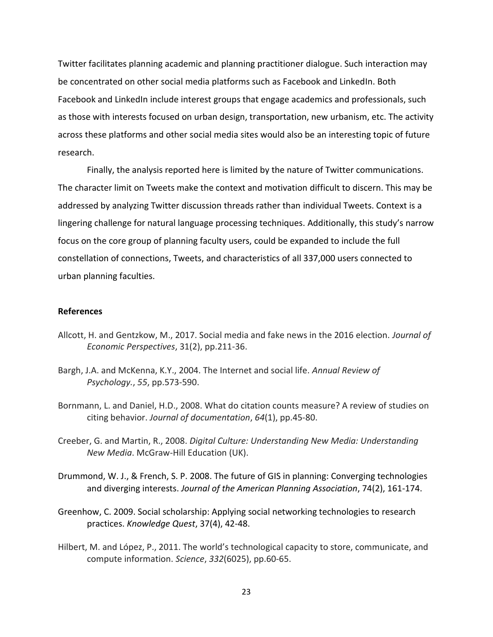Twitter facilitates planning academic and planning practitioner dialogue. Such interaction may be concentrated on other social media platforms such as Facebook and LinkedIn. Both Facebook and LinkedIn include interest groups that engage academics and professionals, such as those with interests focused on urban design, transportation, new urbanism, etc. The activity across these platforms and other social media sites would also be an interesting topic of future research.

Finally, the analysis reported here is limited by the nature of Twitter communications. The character limit on Tweets make the context and motivation difficult to discern. This may be addressed by analyzing Twitter discussion threads rather than individual Tweets. Context is a lingering challenge for natural language processing techniques. Additionally, this study's narrow focus on the core group of planning faculty users, could be expanded to include the full constellation of connections, Tweets, and characteristics of all 337,000 users connected to urban planning faculties.

# **References**

- Allcott, H. and Gentzkow, M., 2017. Social media and fake news in the 2016 election. *Journal of Economic Perspectives*, 31(2), pp.211-36.
- Bargh, J.A. and McKenna, K.Y., 2004. The Internet and social life. *Annual Review of Psychology.*, *55*, pp.573-590.
- Bornmann, L. and Daniel, H.D., 2008. What do citation counts measure? A review of studies on citing behavior. *Journal of documentation*, *64*(1), pp.45-80.
- Creeber, G. and Martin, R., 2008. *Digital Culture: Understanding New Media: Understanding New Media*. McGraw-Hill Education (UK).
- Drummond, W. J., & French, S. P. 2008. The future of GIS in planning: Converging technologies and diverging interests. *Journal of the American Planning Association*, 74(2), 161-174.
- Greenhow, C. 2009. Social scholarship: Applying social networking technologies to research practices. *Knowledge Quest*, 37(4), 42-48.
- Hilbert, M. and López, P., 2011. The world's technological capacity to store, communicate, and compute information. *Science*, *332*(6025), pp.60-65.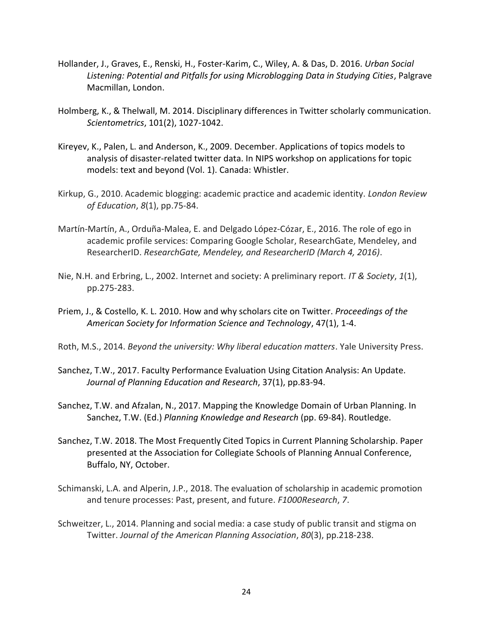- Hollander, J., Graves, E., Renski, H., Foster-Karim, C., Wiley, A. & Das, D. 2016. *Urban Social Listening: Potential and Pitfalls for using Microblogging Data in Studying Cities*, Palgrave Macmillan, London.
- Holmberg, K., & Thelwall, M. 2014. Disciplinary differences in Twitter scholarly communication. *Scientometrics*, 101(2), 1027-1042.
- Kireyev, K., Palen, L. and Anderson, K., 2009. December. Applications of topics models to analysis of disaster-related twitter data. In NIPS workshop on applications for topic models: text and beyond (Vol. 1). Canada: Whistler.
- Kirkup, G., 2010. Academic blogging: academic practice and academic identity. *London Review of Education*, *8*(1), pp.75-84.
- Martín-Martín, A., Orduña-Malea, E. and Delgado López-Cózar, E., 2016. The role of ego in academic profile services: Comparing Google Scholar, ResearchGate, Mendeley, and ResearcherID. *ResearchGate, Mendeley, and ResearcherID (March 4, 2016)*.
- Nie, N.H. and Erbring, L., 2002. Internet and society: A preliminary report. *IT & Society*, *1*(1), pp.275-283.
- Priem, J., & Costello, K. L. 2010. How and why scholars cite on Twitter. *Proceedings of the American Society for Information Science and Technology*, 47(1), 1-4.
- Roth, M.S., 2014. *Beyond the university: Why liberal education matters*. Yale University Press.
- Sanchez, T.W., 2017. Faculty Performance Evaluation Using Citation Analysis: An Update. *Journal of Planning Education and Research*, 37(1), pp.83-94.
- Sanchez, T.W. and Afzalan, N., 2017. Mapping the Knowledge Domain of Urban Planning. In Sanchez, T.W. (Ed.) *Planning Knowledge and Research* (pp. 69-84). Routledge.
- Sanchez, T.W. 2018. The Most Frequently Cited Topics in Current Planning Scholarship. Paper presented at the Association for Collegiate Schools of Planning Annual Conference, Buffalo, NY, October.
- Schimanski, L.A. and Alperin, J.P., 2018. The evaluation of scholarship in academic promotion and tenure processes: Past, present, and future. *F1000Research*, *7*.
- Schweitzer, L., 2014. Planning and social media: a case study of public transit and stigma on Twitter. *Journal of the American Planning Association*, *80*(3), pp.218-238.